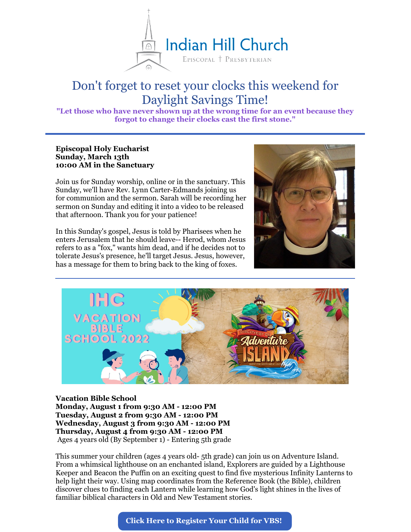

# Don't forget to reset your clocks this weekend for Daylight Savings Time!

**"Let those who have never shown up at the wrong time for an event because they forgot to change their clocks cast the first stone."**

## **Episcopal Holy Eucharist Sunday, March 13th 10:00 AM in the Sanctuary**

Join us for Sunday worship, online or in the sanctuary. This Sunday, we'll have Rev. Lynn Carter-Edmands joining us for communion and the sermon. Sarah will be recording her sermon on Sunday and editing it into a video to be released that afternoon. Thank you for your patience!

In this Sunday's gospel, Jesus is told by Pharisees when he enters Jerusalem that he should leave-- Herod, whom Jesus refers to as a "fox," wants him dead, and if he decides not to tolerate Jesus's presence, he'll target Jesus. Jesus, however, has a message for them to bring back to the king of foxes.





## **Vacation Bible School**

**Monday, August 1 from 9:30 AM - 12:00 PM Tuesday, August 2 from 9:30 AM - 12:00 PM Wednesday, August 3 from 9:30 AM - 12:00 PM Thursday, August 4 from 9:30 AM - 12:00 PM** Ages 4 years old (By September 1) - Entering 5th grade

This summer your children (ages 4 years old- 5th grade) can join us on Adventure Island. From a whimsical lighthouse on an enchanted island, Explorers are guided by a Lighthouse Keeper and Beacon the Puffin on an exciting quest to find five mysterious Infinity Lanterns to help light their way. Using map coordinates from the Reference Book (the Bible), children discover clues to finding each Lantern while learning how God's light shines in the lives of familiar biblical characters in Old and New Testament stories.

**Click Here to [Register](https://onrealm.org/IndianHillChurch/PublicRegistrations/Event?linkString=Y2UzZWEyMzgtYzBiNS00ZWIwLTg4MDctYWUzZDAwZDYyMDQz) Your Child for VBS!**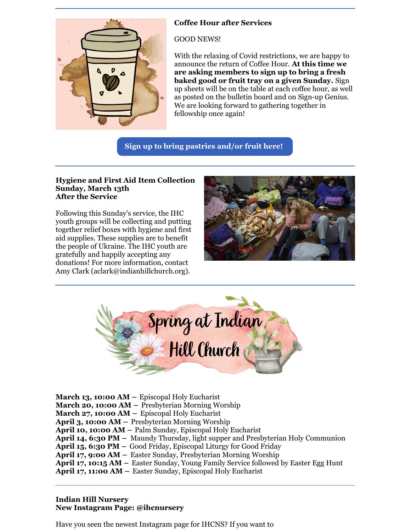

## **Coffee Hour after Services**

GOOD NEWS!

With the relaxing of Covid restrictions, we are happy to announce the return of Coffee Hour. **At this time we are asking members to sign up to bring a fresh baked good or fruit tray on a given Sunday.** Sign up sheets will be on the table at each coffee hour, as well as posted on the bulletin board and on Sign-up Genius. We are looking forward to gathering together in fellowship once again!

**Sign up to bring [pastries](https://www.signupgenius.com/go/9040a4aa9a628ab9-indian) and/or fruit here!**

#### **Hygiene and First Aid Item Collection Sunday, March 13th After the Service**

Following this Sunday's service, the IHC youth groups will be collecting and putting together relief boxes with hygiene and first aid supplies. These supplies are to benefit the people of Ukraine. The IHC youth are gratefully and happily accepting any donations! For more information, contact Amy Clark (aclark@indianhillchurch.org).





**March 13, 10:00 AM –** Episcopal Holy Eucharist **March 20, 10:00 AM –** Presbyterian Morning Worship **March 27, 10:00 AM –** Episcopal Holy Eucharist **April 3, 10:00 AM –** Presbyterian Morning Worship **April 10, 10:00 AM –** Palm Sunday, Episcopal Holy Eucharist **April 14, 6:30 PM –** Maundy Thursday, light supper and Presbyterian Holy Communion **April 15, 6:30 PM –** Good Friday, Episcopal Liturgy for Good Friday **April 17, 9:00 AM –** Easter Sunday, Presbyterian Morning Worship **April 17, 10:15 AM –** Easter Sunday, Young Family Service followed by Easter Egg Hunt **April 17, 11:00 AM –** Easter Sunday, Episcopal Holy Eucharist

## **Indian Hill Nursery New Instagram Page: @ihcnursery**

Have you seen the newest Instagram page for IHCNS? If you want to